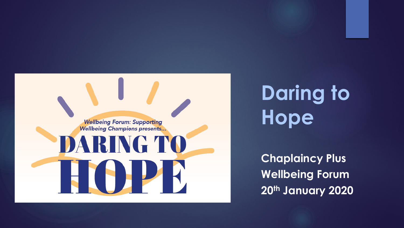

## **Daring to Hope**

**Chaplaincy Plus Wellbeing Forum 20th January 2020**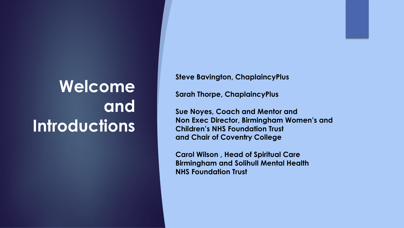## **Welcome and Introductions**

**Steve Bavington, ChaplaincyPlus**

**Sarah Thorpe, ChaplaincyPlus** 

**Sue Noyes, Coach and Mentor and Non Exec Director, Birmingham Women's and Children's NHS Foundation Trust and Chair of Coventry College**

**Carol Wilson , Head of Spiritual Care Birmingham and Solihull Mental Health NHS Foundation Trust**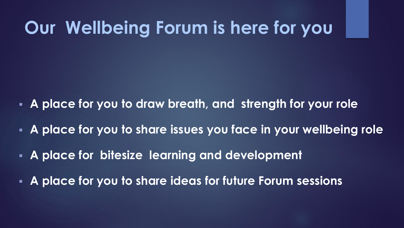## **Our Wellbeing Forum is here for you**

- **A place for you to draw breath, and strength for your role**
- **A place for you to share issues you face in your wellbeing role**
- **EXTE A place for bitesize learning and development**
- **A place for you to share ideas for future Forum sessions**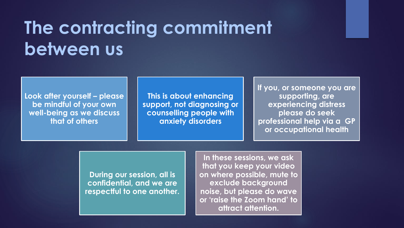## **The contracting commitment between us**

**Look after yourself – please be mindful of your own well-being as we discuss that of others**

**This is about enhancing support, not diagnosing or counselling people with anxiety disorders** 

**If you, or someone you are supporting, are experiencing distress please do seek professional help via a GP or occupational health**

**During our session, all is confidential, and we are respectful to one another.**

**In these sessions, we ask that you keep your video on where possible, mute to exclude background noise, but please do wave or 'raise the Zoom hand' to attract attention.**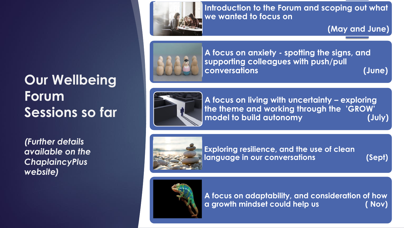### **Our Wellbeing Forum Sessions so far**

*(Further details available on the ChaplaincyPlus website)* 



**Introduction to the Forum and scoping out what we wanted to focus on** 

**(May and June)**



**A focus on anxiety - spotting the signs, and supporting colleagues with push/pull conversations (June)** 



**A focus on living with uncertainty – exploring the theme and working through the 'GROW' model to build autonomy (July)**



**Exploring resilience, and the use of clean language in our conversations (Sept)**



**A focus on adaptability, and consideration of how a growth mindset could help us ( Nov)**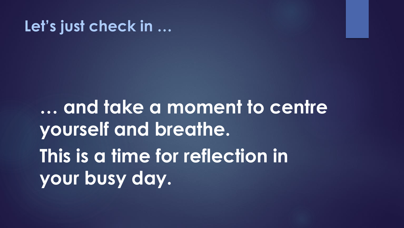### **Let's just check in …**

**… and take a moment to centre yourself and breathe. This is a time for reflection in your busy day.**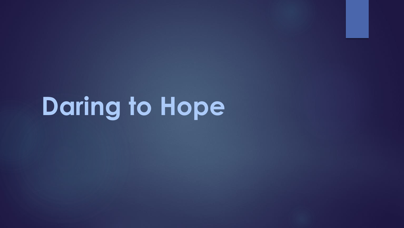# **Daring to Hope**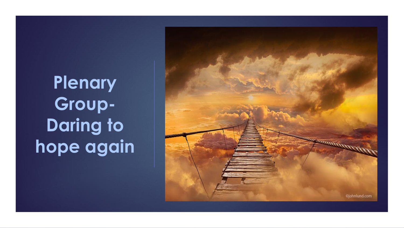## **Plenary Group-Daring to hope again**

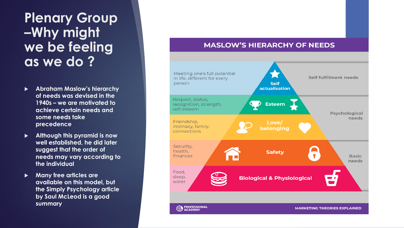### **Plenary Group –Why might we be feeling as we do ?**

- **Abraham Maslow's hierarchy of needs was devised in the 1940s – we are motivated to achieve certain needs and some needs take precedence**
- **Although this pyramid is now well established, he did later suggest that the order of needs may vary according to the individual**
- **Many free articles are available on this model, but the Simply Psychology article by Saul McLeod is a good summary**

#### **MASLOW'S HIERARCHY OF NEEDS**

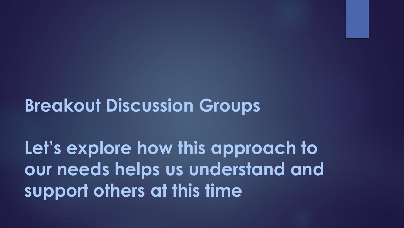**Breakout Discussion Groups** 

**Let's explore how this approach to our needs helps us understand and support others at this time**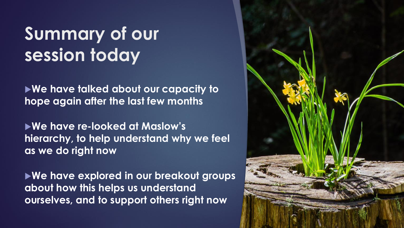## **Summary of our session today**

**We have talked about our capacity to hope again after the last few months** 

**We have re-looked at Maslow's hierarchy, to help understand why we feel as we do right now**

**We have explored in our breakout groups about how this helps us understand ourselves, and to support others right now** 

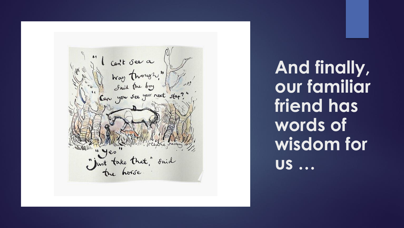l cont see a<br>Way though." Just take that," said

**And finally, our familiar friend has words of wisdom for us …**